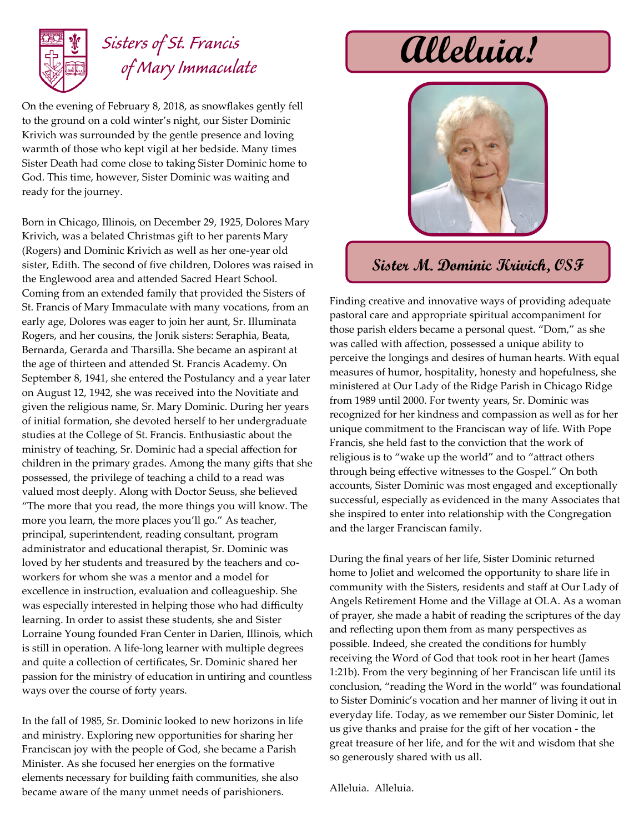

## *Sisters of St. Francis of Mary Immaculate*

On the evening of February 8, 2018, as snowflakes gently fell to the ground on a cold winter's night, our Sister Dominic Krivich was surrounded by the gentle presence and loving warmth of those who kept vigil at her bedside. Many times Sister Death had come close to taking Sister Dominic home to God. This time, however, Sister Dominic was waiting and ready for the journey.

Born in Chicago, Illinois, on December 29, 1925, Dolores Mary Krivich, was a belated Christmas gift to her parents Mary (Rogers) and Dominic Krivich as well as her one-year old sister, Edith. The second of five children, Dolores was raised in the Englewood area and attended Sacred Heart School. Coming from an extended family that provided the Sisters of St. Francis of Mary Immaculate with many vocations, from an early age, Dolores was eager to join her aunt, Sr. Illuminata Rogers, and her cousins, the Jonik sisters: Seraphia, Beata, Bernarda, Gerarda and Tharsilla. She became an aspirant at the age of thirteen and attended St. Francis Academy. On September 8, 1941, she entered the Postulancy and a year later on August 12, 1942, she was received into the Novitiate and given the religious name, Sr. Mary Dominic. During her years of initial formation, she devoted herself to her undergraduate studies at the College of St. Francis. Enthusiastic about the ministry of teaching, Sr. Dominic had a special affection for children in the primary grades. Among the many gifts that she possessed, the privilege of teaching a child to a read was valued most deeply. Along with Doctor Seuss, she believed "The more that you read, the more things you will know. The more you learn, the more places you'll go." As teacher, principal, superintendent, reading consultant, program administrator and educational therapist, Sr. Dominic was loved by her students and treasured by the teachers and coworkers for whom she was a mentor and a model for excellence in instruction, evaluation and colleagueship. She was especially interested in helping those who had difficulty learning. In order to assist these students, she and Sister Lorraine Young founded Fran Center in Darien, Illinois, which is still in operation. A life-long learner with multiple degrees and quite a collection of certificates, Sr. Dominic shared her passion for the ministry of education in untiring and countless ways over the course of forty years.

In the fall of 1985, Sr. Dominic looked to new horizons in life and ministry. Exploring new opportunities for sharing her Franciscan joy with the people of God, she became a Parish Minister. As she focused her energies on the formative elements necessary for building faith communities, she also became aware of the many unmet needs of parishioners.

## **Alleluia!**



## **Sister M. Dominic Krivich, OSF**

Finding creative and innovative ways of providing adequate pastoral care and appropriate spiritual accompaniment for those parish elders became a personal quest. "Dom," as she was called with affection, possessed a unique ability to perceive the longings and desires of human hearts. With equal measures of humor, hospitality, honesty and hopefulness, she ministered at Our Lady of the Ridge Parish in Chicago Ridge from 1989 until 2000. For twenty years, Sr. Dominic was recognized for her kindness and compassion as well as for her unique commitment to the Franciscan way of life. With Pope Francis, she held fast to the conviction that the work of religious is to "wake up the world" and to "attract others through being effective witnesses to the Gospel." On both accounts, Sister Dominic was most engaged and exceptionally successful, especially as evidenced in the many Associates that she inspired to enter into relationship with the Congregation and the larger Franciscan family.

During the final years of her life, Sister Dominic returned home to Joliet and welcomed the opportunity to share life in community with the Sisters, residents and staff at Our Lady of Angels Retirement Home and the Village at OLA. As a woman of prayer, she made a habit of reading the scriptures of the day and reflecting upon them from as many perspectives as possible. Indeed, she created the conditions for humbly receiving the Word of God that took root in her heart (James 1:21b). From the very beginning of her Franciscan life until its conclusion, "reading the Word in the world" was foundational to Sister Dominic's vocation and her manner of living it out in everyday life. Today, as we remember our Sister Dominic, let us give thanks and praise for the gift of her vocation - the great treasure of her life, and for the wit and wisdom that she so generously shared with us all.

Alleluia. Alleluia.